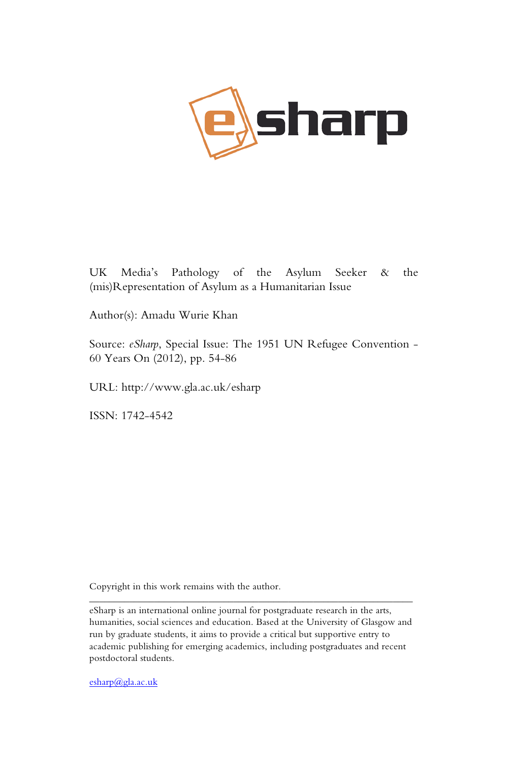

UK Media's Pathology of the Asylum Seeker & the (mis)Representation of Asylum as a Humanitarian Issue

Author(s): Amadu Wurie Khan

Source: *eSharp*, Special Issue: The 1951 UN Refugee Convention - 60 Years On (2012), pp. 54-86

URL: http://www.gla.ac.uk/esharp

ISSN: 1742-4542

Copyright in this work remains with the author.

\_\_\_\_\_\_\_\_\_\_\_\_\_\_\_\_\_\_\_\_\_\_\_\_\_\_\_\_\_\_\_\_\_\_\_\_\_\_\_\_\_\_\_\_\_\_\_\_\_\_\_\_\_\_\_\_\_\_\_\_\_\_\_\_\_

esharp@gla.ac.uk

eSharp is an international online journal for postgraduate research in the arts, humanities, social sciences and education. Based at the University of Glasgow and run by graduate students, it aims to provide a critical but supportive entry to academic publishing for emerging academics, including postgraduates and recent postdoctoral students.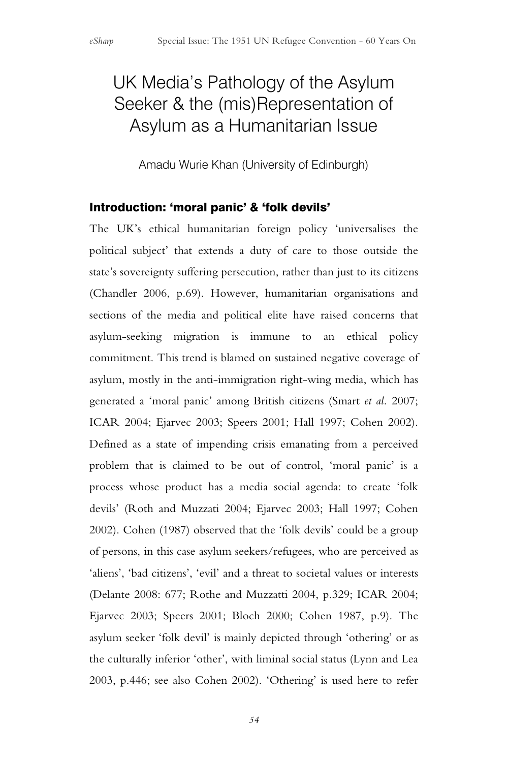# UK Media's Pathology of the Asylum Seeker & the (mis)Representation of Asylum as a Humanitarian Issue

Amadu Wurie Khan (University of Edinburgh)

### Introduction: 'moral panic' & 'folk devils'

The UK's ethical humanitarian foreign policy 'universalises the political subject' that extends a duty of care to those outside the state's sovereignty suffering persecution, rather than just to its citizens (Chandler 2006, p.69). However, humanitarian organisations and sections of the media and political elite have raised concerns that asylum-seeking migration is immune to an ethical policy commitment. This trend is blamed on sustained negative coverage of asylum, mostly in the anti-immigration right-wing media, which has generated a 'moral panic' among British citizens (Smart *et al.* 2007; ICAR 2004; Ejarvec 2003; Speers 2001; Hall 1997; Cohen 2002). Defined as a state of impending crisis emanating from a perceived problem that is claimed to be out of control, 'moral panic' is a process whose product has a media social agenda: to create 'folk devils' (Roth and Muzzati 2004; Ejarvec 2003; Hall 1997; Cohen 2002). Cohen (1987) observed that the 'folk devils' could be a group of persons, in this case asylum seekers/refugees, who are perceived as 'aliens', 'bad citizens', 'evil' and a threat to societal values or interests (Delante 2008: 677; Rothe and Muzzatti 2004, p.329; ICAR 2004; Ejarvec 2003; Speers 2001; Bloch 2000; Cohen 1987, p.9). The asylum seeker 'folk devil' is mainly depicted through 'othering' or as the culturally inferior 'other', with liminal social status (Lynn and Lea 2003, p.446; see also Cohen 2002). 'Othering' is used here to refer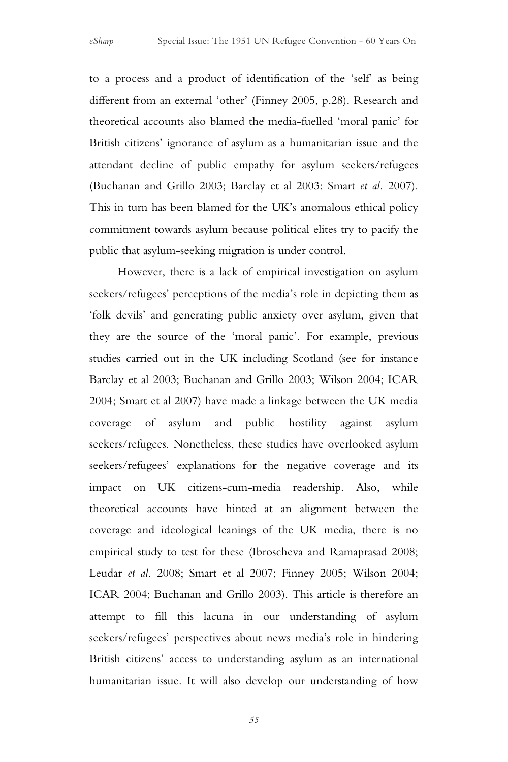to a process and a product of identification of the 'self' as being different from an external 'other' (Finney 2005, p.28). Research and theoretical accounts also blamed the media-fuelled 'moral panic' for British citizens' ignorance of asylum as a humanitarian issue and the attendant decline of public empathy for asylum seekers/refugees (Buchanan and Grillo 2003; Barclay et al 2003: Smart *et al.* 2007). This in turn has been blamed for the UK's anomalous ethical policy commitment towards asylum because political elites try to pacify the public that asylum-seeking migration is under control.

However, there is a lack of empirical investigation on asylum seekers/refugees' perceptions of the media's role in depicting them as 'folk devils' and generating public anxiety over asylum, given that they are the source of the 'moral panic'. For example, previous studies carried out in the UK including Scotland (see for instance Barclay et al 2003; Buchanan and Grillo 2003; Wilson 2004; ICAR 2004; Smart et al 2007) have made a linkage between the UK media coverage of asylum and public hostility against asylum seekers/refugees. Nonetheless, these studies have overlooked asylum seekers/refugees' explanations for the negative coverage and its impact on UK citizens-cum-media readership. Also, while theoretical accounts have hinted at an alignment between the coverage and ideological leanings of the UK media, there is no empirical study to test for these (Ibroscheva and Ramaprasad 2008; Leudar *et al.* 2008; Smart et al 2007; Finney 2005; Wilson 2004; ICAR 2004; Buchanan and Grillo 2003). This article is therefore an attempt to fill this lacuna in our understanding of asylum seekers/refugees' perspectives about news media's role in hindering British citizens' access to understanding asylum as an international humanitarian issue. It will also develop our understanding of how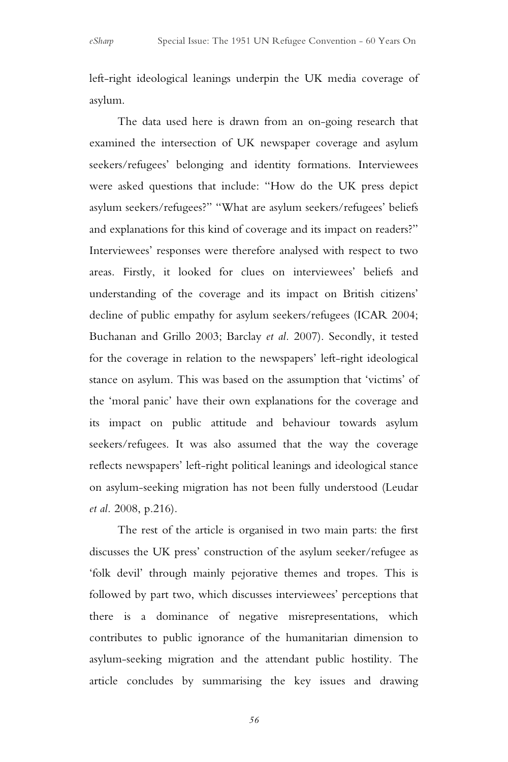left-right ideological leanings underpin the UK media coverage of asylum.

The data used here is drawn from an on-going research that examined the intersection of UK newspaper coverage and asylum seekers/refugees' belonging and identity formations. Interviewees were asked questions that include: "How do the UK press depict asylum seekers/refugees?" "What are asylum seekers/refugees' beliefs and explanations for this kind of coverage and its impact on readers?" Interviewees' responses were therefore analysed with respect to two areas. Firstly, it looked for clues on interviewees' beliefs and understanding of the coverage and its impact on British citizens' decline of public empathy for asylum seekers/refugees (ICAR 2004; Buchanan and Grillo 2003; Barclay *et al.* 2007). Secondly, it tested for the coverage in relation to the newspapers' left-right ideological stance on asylum. This was based on the assumption that 'victims' of the 'moral panic' have their own explanations for the coverage and its impact on public attitude and behaviour towards asylum seekers/refugees. It was also assumed that the way the coverage reflects newspapers' left-right political leanings and ideological stance on asylum-seeking migration has not been fully understood (Leudar *et al.* 2008, p.216).

The rest of the article is organised in two main parts: the first discusses the UK press' construction of the asylum seeker/refugee as 'folk devil' through mainly pejorative themes and tropes. This is followed by part two, which discusses interviewees' perceptions that there is a dominance of negative misrepresentations, which contributes to public ignorance of the humanitarian dimension to asylum-seeking migration and the attendant public hostility. The article concludes by summarising the key issues and drawing

*56*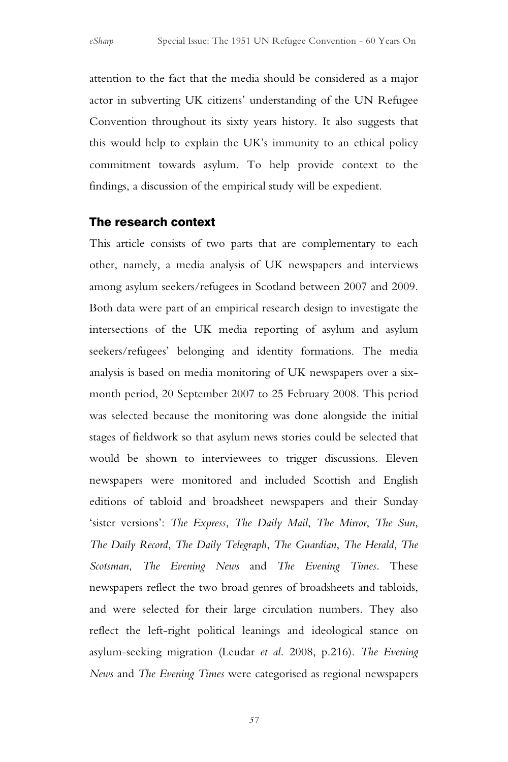attention to the fact that the media should be considered as a major actor in subverting UK citizens' understanding of the UN Refugee Convention throughout its sixty years history. It also suggests that this would help to explain the UK's immunity to an ethical policy commitment towards asylum. To help provide context to the findings, a discussion of the empirical study will be expedient.

### The research context

This article consists of two parts that are complementary to each other, namely, a media analysis of UK newspapers and interviews among asylum seekers/refugees in Scotland between 2007 and 2009. Both data were part of an empirical research design to investigate the intersections of the UK media reporting of asylum and asylum seekers/refugees' belonging and identity formations. The media analysis is based on media monitoring of UK newspapers over a sixmonth period, 20 September 2007 to 25 February 2008. This period was selected because the monitoring was done alongside the initial stages of fieldwork so that asylum news stories could be selected that would be shown to interviewees to trigger discussions. Eleven newspapers were monitored and included Scottish and English editions of tabloid and broadsheet newspapers and their Sunday 'sister versions': *The Express*, *The Daily Mail*, *The Mirror*, *The Sun*, *The Daily Record*, *The Daily Telegraph*, *The Guardian*, *The Herald*, *The Scotsman*, *The Evening News* and *The Evening Times*. These newspapers reflect the two broad genres of broadsheets and tabloids, and were selected for their large circulation numbers. They also reflect the left-right political leanings and ideological stance on asylum-seeking migration (Leudar *et al.* 2008, p.216). *The Evening News* and *The Evening Times* were categorised as regional newspapers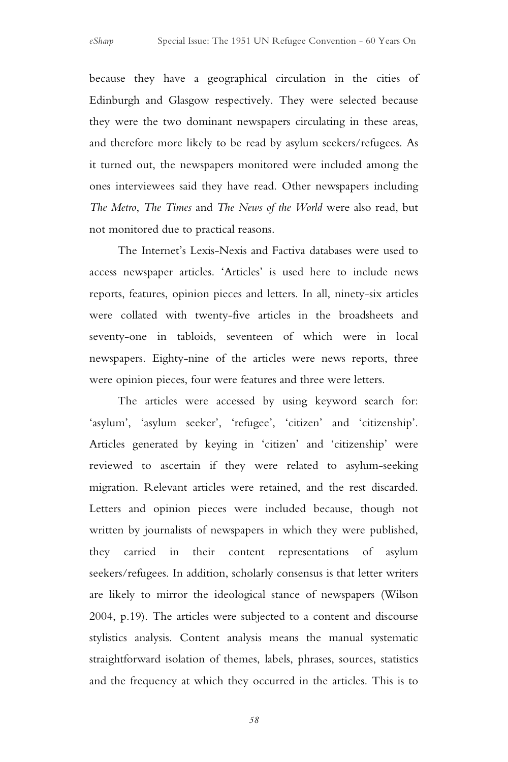because they have a geographical circulation in the cities of Edinburgh and Glasgow respectively. They were selected because they were the two dominant newspapers circulating in these areas, and therefore more likely to be read by asylum seekers/refugees. As it turned out, the newspapers monitored were included among the ones interviewees said they have read. Other newspapers including *The Metro*, *The Times* and *The News of the World* were also read, but not monitored due to practical reasons.

The Internet's Lexis-Nexis and Factiva databases were used to access newspaper articles. 'Articles' is used here to include news reports, features, opinion pieces and letters. In all, ninety-six articles were collated with twenty-five articles in the broadsheets and seventy-one in tabloids, seventeen of which were in local newspapers. Eighty-nine of the articles were news reports, three were opinion pieces, four were features and three were letters.

The articles were accessed by using keyword search for: 'asylum', 'asylum seeker', 'refugee', 'citizen' and 'citizenship'. Articles generated by keying in 'citizen' and 'citizenship' were reviewed to ascertain if they were related to asylum-seeking migration. Relevant articles were retained, and the rest discarded. Letters and opinion pieces were included because, though not written by journalists of newspapers in which they were published, they carried in their content representations of asylum seekers/refugees. In addition, scholarly consensus is that letter writers are likely to mirror the ideological stance of newspapers (Wilson 2004, p.19). The articles were subjected to a content and discourse stylistics analysis. Content analysis means the manual systematic straightforward isolation of themes, labels, phrases, sources, statistics and the frequency at which they occurred in the articles. This is to

*58*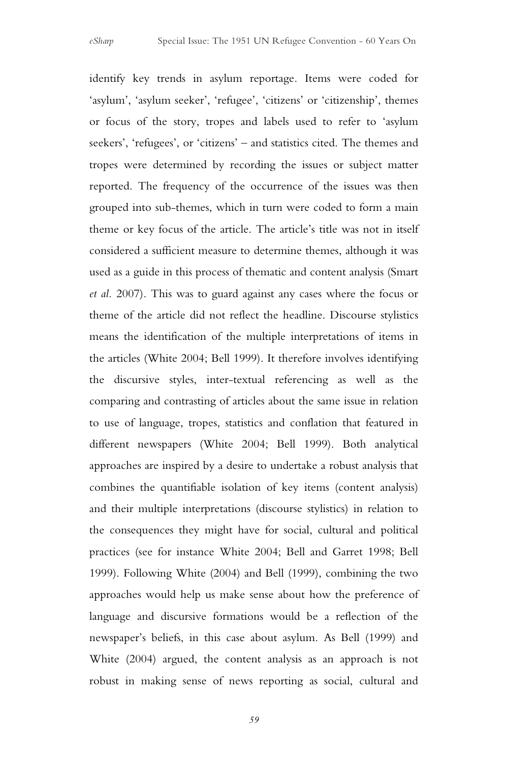identify key trends in asylum reportage. Items were coded for 'asylum', 'asylum seeker', 'refugee', 'citizens' or 'citizenship', themes or focus of the story, tropes and labels used to refer to 'asylum seekers', 'refugees', or 'citizens' – and statistics cited. The themes and tropes were determined by recording the issues or subject matter reported. The frequency of the occurrence of the issues was then grouped into sub-themes, which in turn were coded to form a main theme or key focus of the article. The article's title was not in itself considered a sufficient measure to determine themes, although it was used as a guide in this process of thematic and content analysis (Smart *et al.* 2007). This was to guard against any cases where the focus or theme of the article did not reflect the headline. Discourse stylistics means the identification of the multiple interpretations of items in the articles (White 2004; Bell 1999). It therefore involves identifying the discursive styles, inter-textual referencing as well as the comparing and contrasting of articles about the same issue in relation to use of language, tropes, statistics and conflation that featured in different newspapers (White 2004; Bell 1999). Both analytical approaches are inspired by a desire to undertake a robust analysis that combines the quantifiable isolation of key items (content analysis) and their multiple interpretations (discourse stylistics) in relation to the consequences they might have for social, cultural and political practices (see for instance White 2004; Bell and Garret 1998; Bell 1999). Following White (2004) and Bell (1999), combining the two approaches would help us make sense about how the preference of language and discursive formations would be a reflection of the newspaper's beliefs, in this case about asylum. As Bell (1999) and White (2004) argued, the content analysis as an approach is not robust in making sense of news reporting as social, cultural and

*59*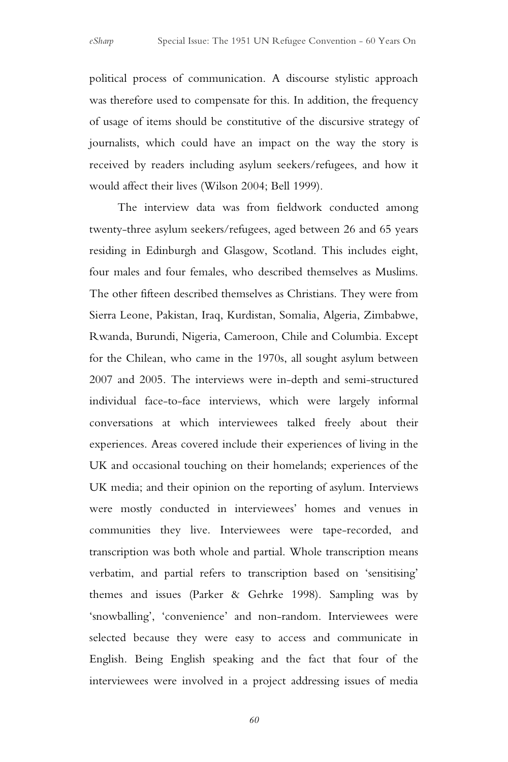political process of communication. A discourse stylistic approach was therefore used to compensate for this. In addition, the frequency of usage of items should be constitutive of the discursive strategy of journalists, which could have an impact on the way the story is received by readers including asylum seekers/refugees, and how it would affect their lives (Wilson 2004; Bell 1999).

The interview data was from fieldwork conducted among twenty-three asylum seekers/refugees, aged between 26 and 65 years residing in Edinburgh and Glasgow, Scotland. This includes eight, four males and four females, who described themselves as Muslims. The other fifteen described themselves as Christians. They were from Sierra Leone, Pakistan, Iraq, Kurdistan, Somalia, Algeria, Zimbabwe, Rwanda, Burundi, Nigeria, Cameroon, Chile and Columbia. Except for the Chilean, who came in the 1970s, all sought asylum between 2007 and 2005. The interviews were in-depth and semi-structured individual face-to-face interviews, which were largely informal conversations at which interviewees talked freely about their experiences. Areas covered include their experiences of living in the UK and occasional touching on their homelands; experiences of the UK media; and their opinion on the reporting of asylum. Interviews were mostly conducted in interviewees' homes and venues in communities they live. Interviewees were tape-recorded, and transcription was both whole and partial. Whole transcription means verbatim, and partial refers to transcription based on 'sensitising' themes and issues (Parker & Gehrke 1998). Sampling was by 'snowballing', 'convenience' and non-random. Interviewees were selected because they were easy to access and communicate in English. Being English speaking and the fact that four of the interviewees were involved in a project addressing issues of media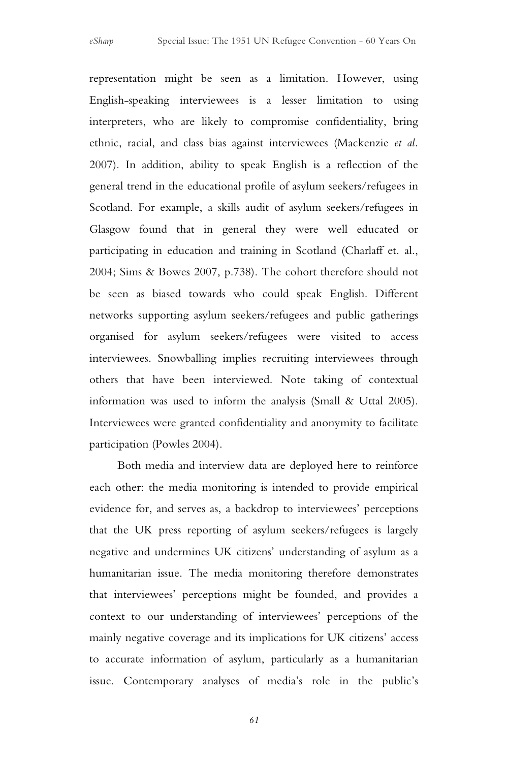representation might be seen as a limitation. However, using English-speaking interviewees is a lesser limitation to using interpreters, who are likely to compromise confidentiality, bring ethnic, racial, and class bias against interviewees (Mackenzie *et al.*  2007). In addition, ability to speak English is a reflection of the general trend in the educational profile of asylum seekers/refugees in Scotland. For example, a skills audit of asylum seekers/refugees in Glasgow found that in general they were well educated or participating in education and training in Scotland (Charlaff et. al., 2004; Sims & Bowes 2007, p.738). The cohort therefore should not be seen as biased towards who could speak English. Different networks supporting asylum seekers/refugees and public gatherings organised for asylum seekers/refugees were visited to access interviewees. Snowballing implies recruiting interviewees through others that have been interviewed. Note taking of contextual information was used to inform the analysis (Small & Uttal 2005). Interviewees were granted confidentiality and anonymity to facilitate participation (Powles 2004).

Both media and interview data are deployed here to reinforce each other: the media monitoring is intended to provide empirical evidence for, and serves as, a backdrop to interviewees' perceptions that the UK press reporting of asylum seekers/refugees is largely negative and undermines UK citizens' understanding of asylum as a humanitarian issue. The media monitoring therefore demonstrates that interviewees' perceptions might be founded, and provides a context to our understanding of interviewees' perceptions of the mainly negative coverage and its implications for UK citizens' access to accurate information of asylum, particularly as a humanitarian issue. Contemporary analyses of media's role in the public's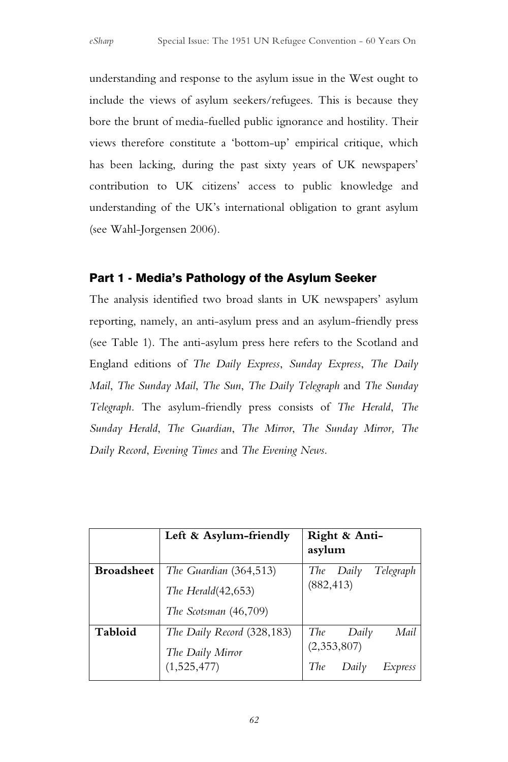understanding and response to the asylum issue in the West ought to include the views of asylum seekers/refugees. This is because they bore the brunt of media-fuelled public ignorance and hostility. Their views therefore constitute a 'bottom-up' empirical critique, which has been lacking, during the past sixty years of UK newspapers' contribution to UK citizens' access to public knowledge and understanding of the UK's international obligation to grant asylum (see Wahl-Jorgensen 2006).

## Part 1 - Media's Pathology of the Asylum Seeker

The analysis identified two broad slants in UK newspapers' asylum reporting, namely, an anti-asylum press and an asylum-friendly press (see Table 1). The anti-asylum press here refers to the Scotland and England editions of *The Daily Express*, *Sunday Express*, *The Daily Mail*, *The Sunday Mail*, *The Sun*, *The Daily Telegraph* and *The Sunday Telegraph*. The asylum-friendly press consists of *The Herald*, *The Sunday Herald*, *The Guardian*, *The Mirror*, *The Sunday Mirror, The Daily Record*, *Evening Times* and *The Evening News*.

|                   | Left & Asylum-friendly     | Right & Anti-<br>asylum        |
|-------------------|----------------------------|--------------------------------|
| <b>Broadsheet</b> | The Guardian (364,513)     | Telegraph<br>$The$ $Daily$     |
|                   | The Herald $(42,653)$      | (882, 413)                     |
|                   | The Scotsman (46,709)      |                                |
| Tabloid           | The Daily Record (328,183) | Mail<br>The<br>Daily           |
|                   | The Daily Mirror           | (2,353,807)                    |
|                   | (1,525,477)                | <b>The</b><br>Daily<br>Express |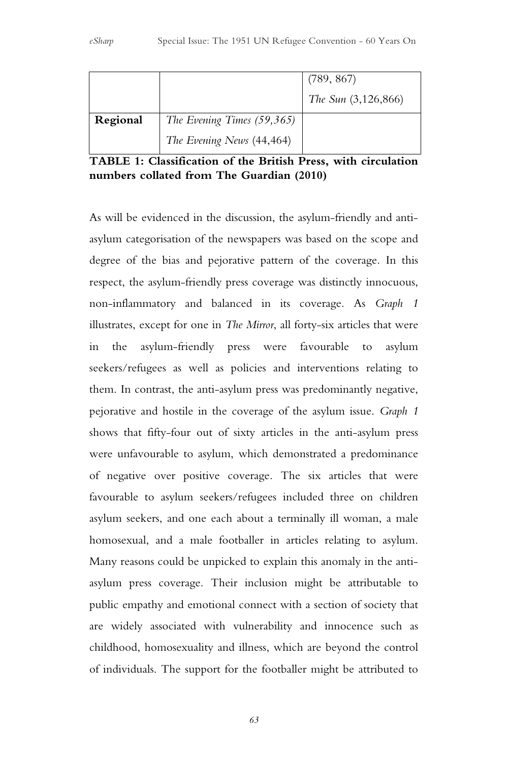|          |                            | (789, 867)          |
|----------|----------------------------|---------------------|
|          |                            | The Sun (3,126,866) |
| Regional | The Evening Times (59,365) |                     |
|          | The Evening News (44,464)  |                     |

#### **TABLE 1: Classification of the British Press, with circulation numbers collated from The Guardian (2010)**

As will be evidenced in the discussion, the asylum-friendly and antiasylum categorisation of the newspapers was based on the scope and degree of the bias and pejorative pattern of the coverage. In this respect, the asylum-friendly press coverage was distinctly innocuous, non-inflammatory and balanced in its coverage. As *Graph 1*  illustrates, except for one in *The Mirror*, all forty-six articles that were in the asylum-friendly press were favourable to asylum seekers/refugees as well as policies and interventions relating to them. In contrast, the anti-asylum press was predominantly negative, pejorative and hostile in the coverage of the asylum issue. *Graph 1* shows that fifty-four out of sixty articles in the anti-asylum press were unfavourable to asylum, which demonstrated a predominance of negative over positive coverage. The six articles that were favourable to asylum seekers/refugees included three on children asylum seekers, and one each about a terminally ill woman, a male homosexual, and a male footballer in articles relating to asylum. Many reasons could be unpicked to explain this anomaly in the antiasylum press coverage. Their inclusion might be attributable to public empathy and emotional connect with a section of society that are widely associated with vulnerability and innocence such as childhood, homosexuality and illness, which are beyond the control of individuals. The support for the footballer might be attributed to

*63*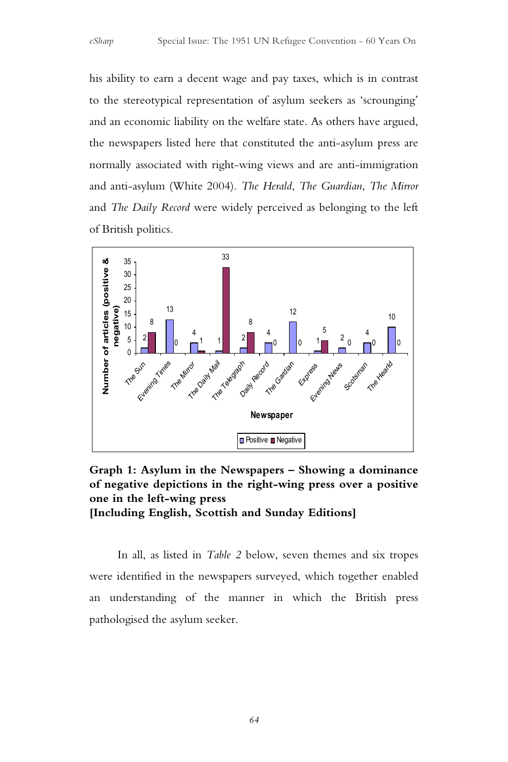his ability to earn a decent wage and pay taxes, which is in contrast to the stereotypical representation of asylum seekers as 'scrounging' and an economic liability on the welfare state. As others have argued, the newspapers listed here that constituted the anti-asylum press are normally associated with right-wing views and are anti-immigration and anti-asylum (White 2004). *The Herald*, *The Guardian*, *The Mirror*  and *The Daily Record* were widely perceived as belonging to the left of British politics.



**Graph 1: Asylum in the Newspapers – Showing a dominance of negative depictions in the right-wing press over a positive one in the left-wing press [Including English, Scottish and Sunday Editions]**

In all, as listed in *Table 2* below, seven themes and six tropes were identified in the newspapers surveyed, which together enabled an understanding of the manner in which the British press pathologised the asylum seeker.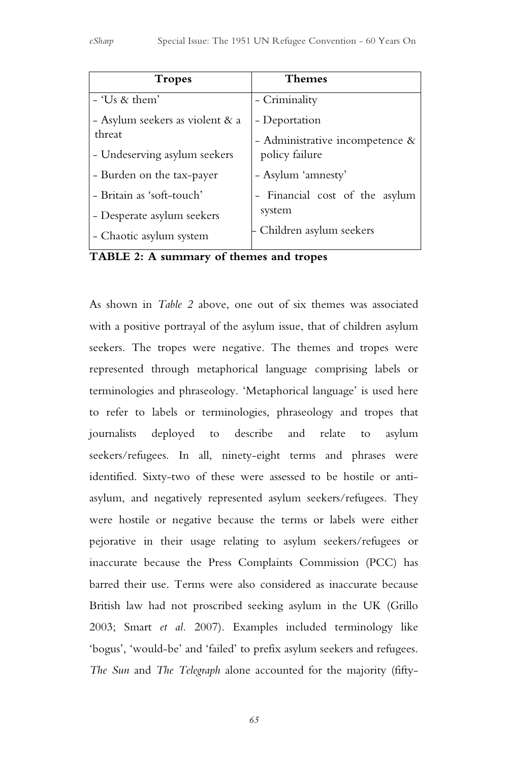| <b>Tropes</b>                   | <b>Themes</b>                   |  |
|---------------------------------|---------------------------------|--|
| - 'Us & them'                   | - Criminality                   |  |
| - Asylum seekers as violent & a | - Deportation                   |  |
| threat                          | - Administrative incompetence & |  |
| - Undeserving asylum seekers    | policy failure                  |  |
| - Burden on the tax-payer       | - Asylum 'amnesty'              |  |
| - Britain as 'soft-touch'       | - Financial cost of the asylum  |  |
| - Desperate asylum seekers      | system                          |  |
| - Chaotic asylum system         | Children asylum seekers         |  |

**TABLE 2: A summary of themes and tropes**

As shown in *Table 2* above, one out of six themes was associated with a positive portrayal of the asylum issue, that of children asylum seekers. The tropes were negative. The themes and tropes were represented through metaphorical language comprising labels or terminologies and phraseology. 'Metaphorical language' is used here to refer to labels or terminologies, phraseology and tropes that journalists deployed to describe and relate to asylum seekers/refugees. In all, ninety-eight terms and phrases were identified. Sixty-two of these were assessed to be hostile or antiasylum, and negatively represented asylum seekers/refugees. They were hostile or negative because the terms or labels were either pejorative in their usage relating to asylum seekers/refugees or inaccurate because the Press Complaints Commission (PCC) has barred their use. Terms were also considered as inaccurate because British law had not proscribed seeking asylum in the UK (Grillo 2003; Smart *et al.* 2007). Examples included terminology like 'bogus', 'would-be' and 'failed' to prefix asylum seekers and refugees. *The Sun* and *The Telegraph* alone accounted for the majority (fifty-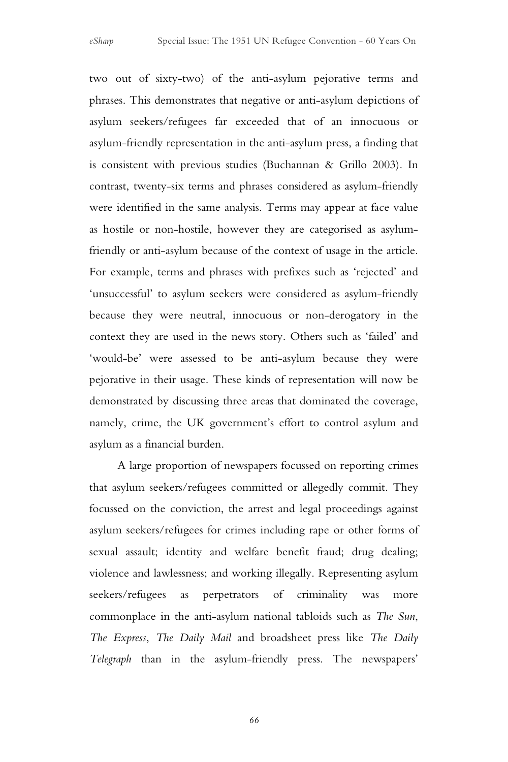two out of sixty-two) of the anti-asylum pejorative terms and phrases. This demonstrates that negative or anti-asylum depictions of asylum seekers/refugees far exceeded that of an innocuous or asylum-friendly representation in the anti-asylum press, a finding that is consistent with previous studies (Buchannan & Grillo 2003). In contrast, twenty-six terms and phrases considered as asylum-friendly were identified in the same analysis. Terms may appear at face value as hostile or non-hostile, however they are categorised as asylumfriendly or anti-asylum because of the context of usage in the article. For example, terms and phrases with prefixes such as 'rejected' and 'unsuccessful' to asylum seekers were considered as asylum-friendly because they were neutral, innocuous or non-derogatory in the context they are used in the news story. Others such as 'failed' and 'would-be' were assessed to be anti-asylum because they were pejorative in their usage. These kinds of representation will now be demonstrated by discussing three areas that dominated the coverage, namely, crime, the UK government's effort to control asylum and asylum as a financial burden.

A large proportion of newspapers focussed on reporting crimes that asylum seekers/refugees committed or allegedly commit. They focussed on the conviction, the arrest and legal proceedings against asylum seekers/refugees for crimes including rape or other forms of sexual assault; identity and welfare benefit fraud; drug dealing; violence and lawlessness; and working illegally. Representing asylum seekers/refugees as perpetrators of criminality was more commonplace in the anti-asylum national tabloids such as *The Sun*, *The Express*, *The Daily Mail* and broadsheet press like *The Daily Telegraph* than in the asylum-friendly press. The newspapers'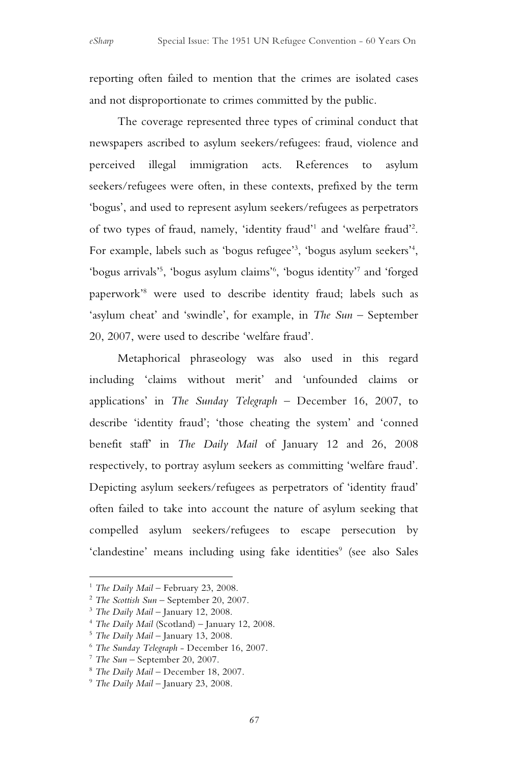reporting often failed to mention that the crimes are isolated cases and not disproportionate to crimes committed by the public.

The coverage represented three types of criminal conduct that newspapers ascribed to asylum seekers/refugees: fraud, violence and perceived illegal immigration acts. References to asylum seekers/refugees were often, in these contexts, prefixed by the term 'bogus', and used to represent asylum seekers/refugees as perpetrators of two types of fraud, namely, 'identity fraud'<sup>1</sup> and 'welfare fraud'<sup>2</sup>. For example, labels such as 'bogus refugee'<sup>3</sup>, 'bogus asylum seekers'<sup>4</sup>, 'bogus arrivals'5 , 'bogus asylum claims'6 , 'bogus identity'7 and 'forged paperwork'8 were used to describe identity fraud; labels such as 'asylum cheat' and 'swindle', for example, in *The Sun* – September 20, 2007, were used to describe 'welfare fraud'.

Metaphorical phraseology was also used in this regard including 'claims without merit' and 'unfounded claims or applications' in *The Sunday Telegraph* – December 16, 2007, to describe 'identity fraud'; 'those cheating the system' and 'conned benefit staff' in *The Daily Mail* of January 12 and 26, 2008 respectively, to portray asylum seekers as committing 'welfare fraud'. Depicting asylum seekers/refugees as perpetrators of 'identity fraud' often failed to take into account the nature of asylum seeking that compelled asylum seekers/refugees to escape persecution by 'clandestine' means including using fake identities<sup>9</sup> (see also Sales

 $\overline{a}$ 

<sup>&</sup>lt;sup>1</sup> The Daily Mail – February 23, 2008.<br>
<sup>2</sup> The Scottish Sun – September 20, 2007.<br>
<sup>3</sup> The Daily Mail – January 12, 2008.<br>
<sup>4</sup> The Daily Mail (Scotland) – January 12, 2008.<br>
<sup>5</sup> The Daily Mail – January 13, 2008.<br>
<sup>6</sup> T

<sup>7</sup> *The Sun* – September 20, 2007. 8 *The Daily Mail* – December 18, 2007. 9 *The Daily Mail* – January 23, 2008.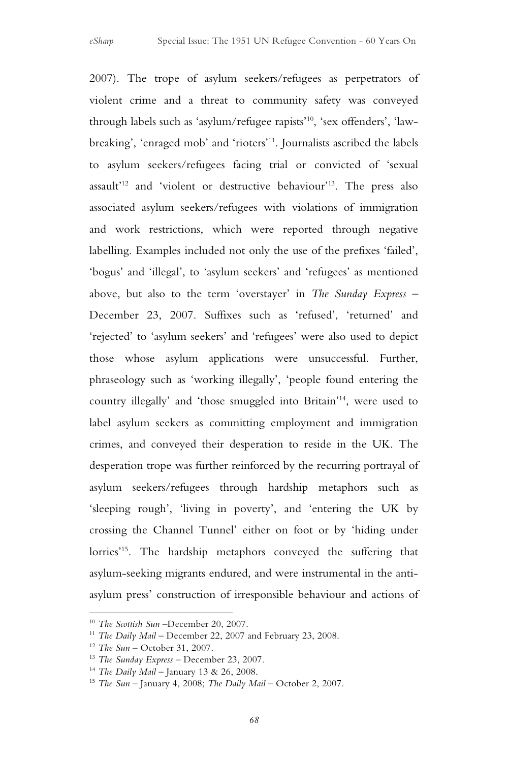2007). The trope of asylum seekers/refugees as perpetrators of violent crime and a threat to community safety was conveyed through labels such as 'asylum/refugee rapists'10, 'sex offenders', 'lawbreaking', 'enraged mob' and 'rioters'11. Journalists ascribed the labels to asylum seekers/refugees facing trial or convicted of 'sexual assault'<sup>12</sup> and 'violent or destructive behaviour'<sup>13</sup>. The press also associated asylum seekers/refugees with violations of immigration and work restrictions, which were reported through negative labelling. Examples included not only the use of the prefixes 'failed', 'bogus' and 'illegal', to 'asylum seekers' and 'refugees' as mentioned above, but also to the term 'overstayer' in *The Sunday Express* – December 23, 2007. Suffixes such as 'refused', 'returned' and 'rejected' to 'asylum seekers' and 'refugees' were also used to depict those whose asylum applications were unsuccessful. Further, phraseology such as 'working illegally', 'people found entering the country illegally' and 'those smuggled into Britain'14, were used to label asylum seekers as committing employment and immigration crimes, and conveyed their desperation to reside in the UK. The desperation trope was further reinforced by the recurring portrayal of asylum seekers/refugees through hardship metaphors such as 'sleeping rough', 'living in poverty', and 'entering the UK by crossing the Channel Tunnel' either on foot or by 'hiding under lorries'15. The hardship metaphors conveyed the suffering that asylum-seeking migrants endured, and were instrumental in the antiasylum press' construction of irresponsible behaviour and actions of

 $\overline{a}$ 

<sup>10</sup> *The Scottish Sun* –December 20, 2007.

<sup>&</sup>lt;sup>11</sup> *The Daily Mail* – December 22, 2007 and February 23, 2008.

<sup>12</sup> *The Sun* – October 31, 2007.

<sup>13</sup> *The Sunday Express* – December 23, 2007.

<sup>14</sup> *The Daily Mail* – January 13 & 26, 2008.

<sup>15</sup> *The Sun* – January 4, 2008; *The Daily Mail* – October 2, 2007.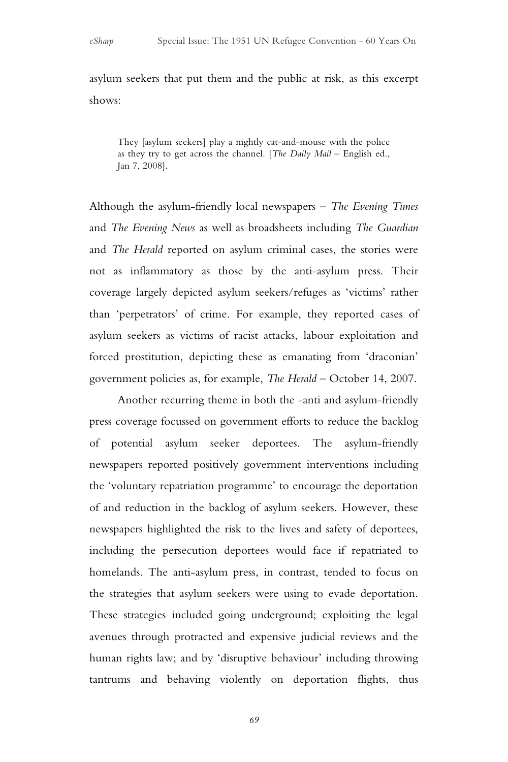asylum seekers that put them and the public at risk, as this excerpt shows:

They [asylum seekers] play a nightly cat-and-mouse with the police as they try to get across the channel. [*The Daily Mail* – English ed., Jan 7, 2008].

Although the asylum-friendly local newspapers – *The Evening Times* and *The Evening News* as well as broadsheets including *The Guardian* and *The Herald* reported on asylum criminal cases, the stories were not as inflammatory as those by the anti-asylum press. Their coverage largely depicted asylum seekers/refuges as 'victims' rather than 'perpetrators' of crime. For example, they reported cases of asylum seekers as victims of racist attacks, labour exploitation and forced prostitution, depicting these as emanating from 'draconian' government policies as, for example, *The Herald* – October 14, 2007.

Another recurring theme in both the -anti and asylum-friendly press coverage focussed on government efforts to reduce the backlog of potential asylum seeker deportees. The asylum-friendly newspapers reported positively government interventions including the 'voluntary repatriation programme' to encourage the deportation of and reduction in the backlog of asylum seekers. However, these newspapers highlighted the risk to the lives and safety of deportees, including the persecution deportees would face if repatriated to homelands. The anti-asylum press, in contrast, tended to focus on the strategies that asylum seekers were using to evade deportation. These strategies included going underground; exploiting the legal avenues through protracted and expensive judicial reviews and the human rights law; and by 'disruptive behaviour' including throwing tantrums and behaving violently on deportation flights, thus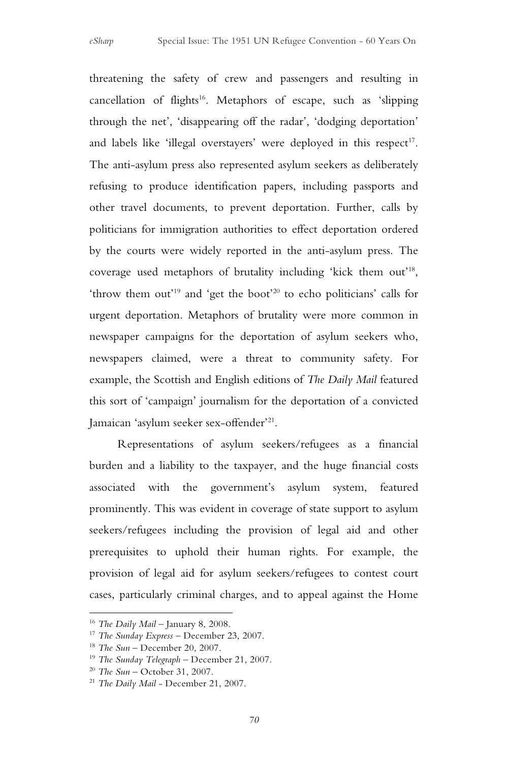threatening the safety of crew and passengers and resulting in  $cancellation$  of flights<sup>16</sup>. Metaphors of escape, such as 'slipping through the net', 'disappearing off the radar', 'dodging deportation' and labels like 'illegal overstayers' were deployed in this respect<sup>17</sup>. The anti-asylum press also represented asylum seekers as deliberately refusing to produce identification papers, including passports and other travel documents, to prevent deportation. Further, calls by politicians for immigration authorities to effect deportation ordered by the courts were widely reported in the anti-asylum press. The coverage used metaphors of brutality including 'kick them out'18, 'throw them out'19 and 'get the boot'20 to echo politicians' calls for urgent deportation. Metaphors of brutality were more common in newspaper campaigns for the deportation of asylum seekers who, newspapers claimed, were a threat to community safety. For example, the Scottish and English editions of *The Daily Mail* featured this sort of 'campaign' journalism for the deportation of a convicted Jamaican 'asylum seeker sex-offender'21.

Representations of asylum seekers/refugees as a financial burden and a liability to the taxpayer, and the huge financial costs associated with the government's asylum system, featured prominently. This was evident in coverage of state support to asylum seekers/refugees including the provision of legal aid and other prerequisites to uphold their human rights. For example, the provision of legal aid for asylum seekers/refugees to contest court cases, particularly criminal charges, and to appeal against the Home

 $\overline{a}$ 

<sup>16</sup> *The Daily Mail* – January 8, 2008.

<sup>17</sup> *The Sunday Express* – December 23, 2007.

<sup>18</sup> *The Sun* – December 20, 2007.

<sup>19</sup> *The Sunday Telegraph* – December 21, 2007.

<sup>20</sup> *The Sun* – October 31, 2007.

<sup>21</sup> *The Daily Mail* - December 21, 2007.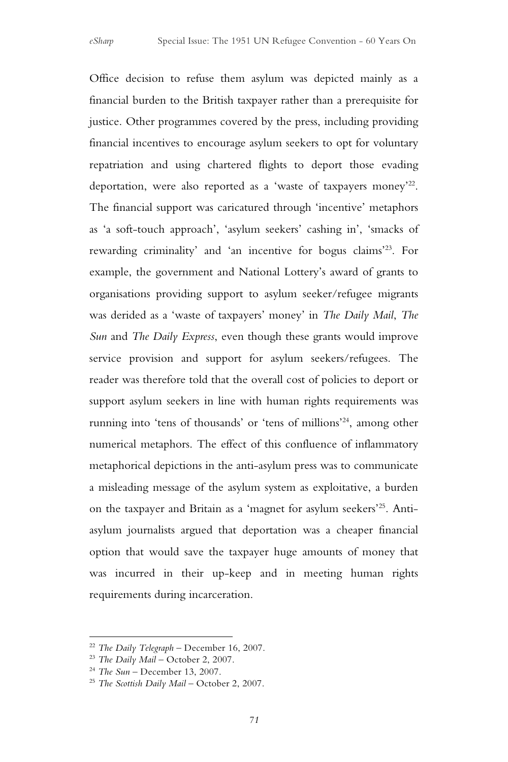Office decision to refuse them asylum was depicted mainly as a financial burden to the British taxpayer rather than a prerequisite for justice. Other programmes covered by the press, including providing financial incentives to encourage asylum seekers to opt for voluntary repatriation and using chartered flights to deport those evading deportation, were also reported as a 'waste of taxpayers money'22. The financial support was caricatured through 'incentive' metaphors as 'a soft-touch approach', 'asylum seekers' cashing in', 'smacks of rewarding criminality' and 'an incentive for bogus claims'23. For example, the government and National Lottery's award of grants to organisations providing support to asylum seeker/refugee migrants was derided as a 'waste of taxpayers' money' in *The Daily Mail*, *The Sun* and *The Daily Express*, even though these grants would improve service provision and support for asylum seekers/refugees. The reader was therefore told that the overall cost of policies to deport or support asylum seekers in line with human rights requirements was running into 'tens of thousands' or 'tens of millions'24, among other numerical metaphors. The effect of this confluence of inflammatory metaphorical depictions in the anti-asylum press was to communicate a misleading message of the asylum system as exploitative, a burden on the taxpayer and Britain as a 'magnet for asylum seekers'25. Antiasylum journalists argued that deportation was a cheaper financial option that would save the taxpayer huge amounts of money that was incurred in their up-keep and in meeting human rights requirements during incarceration.

 $\overline{a}$ 

<sup>22</sup> *The Daily Telegraph* – December 16, 2007.

<sup>23</sup> *The Daily Mail* – October 2, 2007.

<sup>24</sup> *The Sun* – December 13, 2007.

<sup>25</sup> *The Scottish Daily Mail* – October 2, 2007.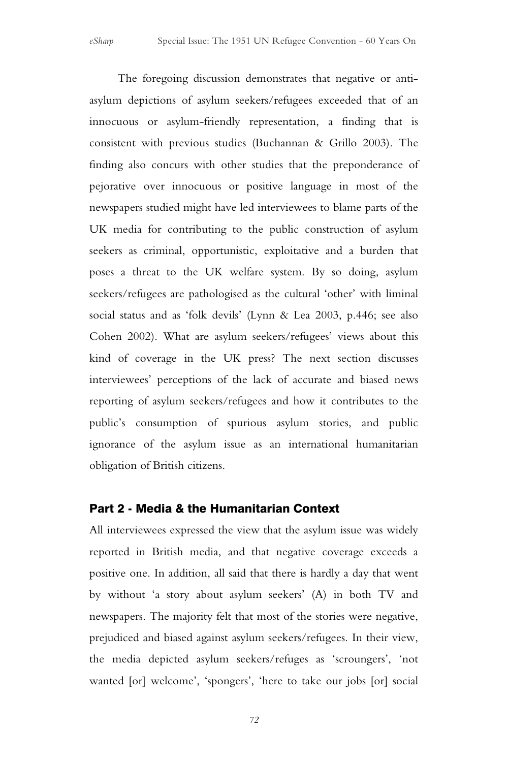The foregoing discussion demonstrates that negative or antiasylum depictions of asylum seekers/refugees exceeded that of an innocuous or asylum-friendly representation, a finding that is consistent with previous studies (Buchannan & Grillo 2003). The finding also concurs with other studies that the preponderance of pejorative over innocuous or positive language in most of the newspapers studied might have led interviewees to blame parts of the UK media for contributing to the public construction of asylum seekers as criminal, opportunistic, exploitative and a burden that poses a threat to the UK welfare system. By so doing, asylum seekers/refugees are pathologised as the cultural 'other' with liminal social status and as 'folk devils' (Lynn & Lea 2003, p.446; see also Cohen 2002). What are asylum seekers/refugees' views about this kind of coverage in the UK press? The next section discusses interviewees' perceptions of the lack of accurate and biased news reporting of asylum seekers/refugees and how it contributes to the public's consumption of spurious asylum stories, and public ignorance of the asylum issue as an international humanitarian obligation of British citizens.

#### Part 2 - Media & the Humanitarian Context

All interviewees expressed the view that the asylum issue was widely reported in British media, and that negative coverage exceeds a positive one. In addition, all said that there is hardly a day that went by without 'a story about asylum seekers' (A) in both TV and newspapers. The majority felt that most of the stories were negative, prejudiced and biased against asylum seekers/refugees. In their view, the media depicted asylum seekers/refuges as 'scroungers', 'not wanted [or] welcome', 'spongers', 'here to take our jobs [or] social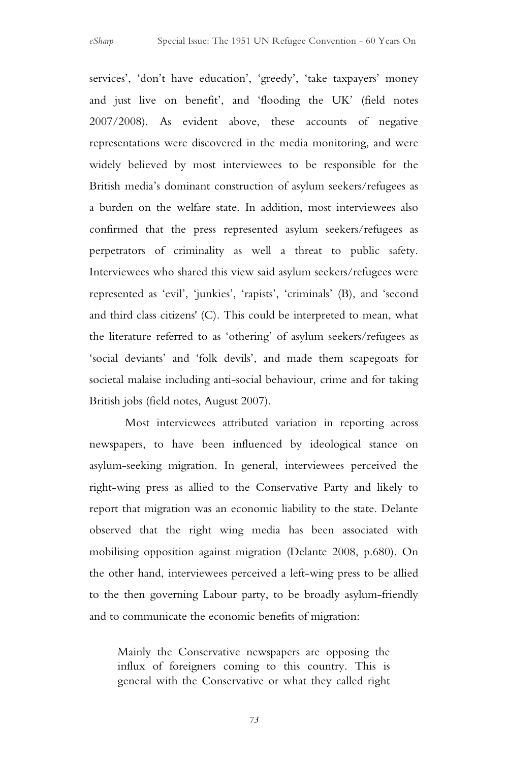services', 'don't have education', 'greedy', 'take taxpayers' money and just live on benefit', and 'flooding the UK' (field notes 2007/2008). As evident above, these accounts of negative representations were discovered in the media monitoring, and were widely believed by most interviewees to be responsible for the British media's dominant construction of asylum seekers/refugees as a burden on the welfare state. In addition, most interviewees also confirmed that the press represented asylum seekers/refugees as perpetrators of criminality as well a threat to public safety. Interviewees who shared this view said asylum seekers/refugees were represented as 'evil', 'junkies', 'rapists', 'criminals' (B), and 'second and third class citizens' (C). This could be interpreted to mean, what the literature referred to as 'othering' of asylum seekers/refugees as 'social deviants' and 'folk devils', and made them scapegoats for societal malaise including anti-social behaviour, crime and for taking British jobs (field notes, August 2007).

Most interviewees attributed variation in reporting across newspapers, to have been influenced by ideological stance on asylum-seeking migration. In general, interviewees perceived the right-wing press as allied to the Conservative Party and likely to report that migration was an economic liability to the state. Delante observed that the right wing media has been associated with mobilising opposition against migration (Delante 2008, p.680). On the other hand, interviewees perceived a left-wing press to be allied to the then governing Labour party, to be broadly asylum-friendly and to communicate the economic benefits of migration:

Mainly the Conservative newspapers are opposing the influx of foreigners coming to this country. This is general with the Conservative or what they called right

*73*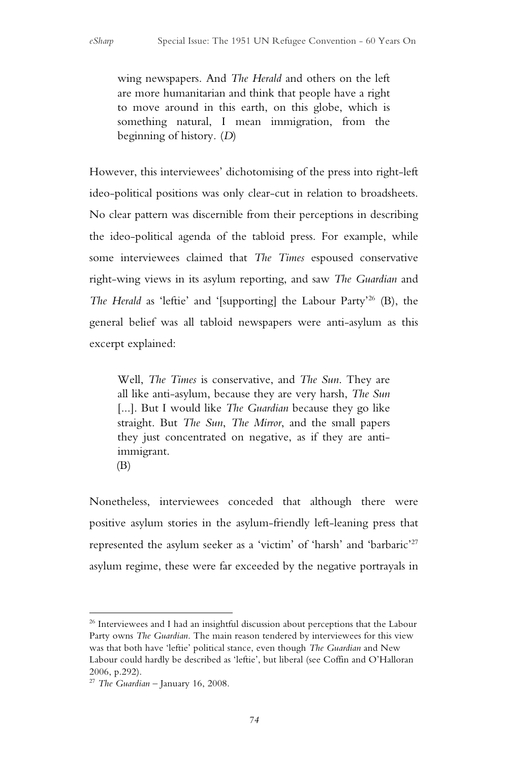wing newspapers. And *The Herald* and others on the left are more humanitarian and think that people have a right to move around in this earth, on this globe, which is something natural, I mean immigration, from the beginning of history*.* (*D*)

However, this interviewees' dichotomising of the press into right-left ideo-political positions was only clear-cut in relation to broadsheets. No clear pattern was discernible from their perceptions in describing the ideo-political agenda of the tabloid press. For example, while some interviewees claimed that *The Times* espoused conservative right-wing views in its asylum reporting, and saw *The Guardian* and *The Herald* as 'leftie' and '[supporting] the Labour Party'26 (B), the general belief was all tabloid newspapers were anti-asylum as this excerpt explained:

Well, *The Times* is conservative, and *The Sun*. They are all like anti-asylum, because they are very harsh, *The Sun*  [...]. But I would like *The Guardian* because they go like straight. But *The Sun*, *The Mirror*, and the small papers they just concentrated on negative, as if they are antiimmigrant.

(B)

Nonetheless, interviewees conceded that although there were positive asylum stories in the asylum-friendly left-leaning press that represented the asylum seeker as a 'victim' of 'harsh' and 'barbaric'27 asylum regime, these were far exceeded by the negative portrayals in

 $\overline{a}$ <sup>26</sup> Interviewees and I had an insightful discussion about perceptions that the Labour Party owns *The Guardian*. The main reason tendered by interviewees for this view was that both have 'leftie' political stance, even though *The Guardian* and New Labour could hardly be described as 'leftie', but liberal (see Coffin and O'Halloran 2006, p.292).

<sup>27</sup> *The Guardian* – January 16, 2008.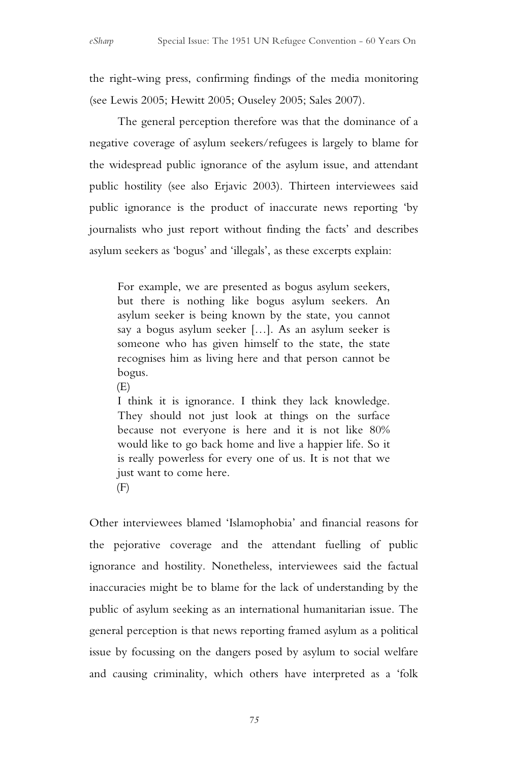the right-wing press, confirming findings of the media monitoring (see Lewis 2005; Hewitt 2005; Ouseley 2005; Sales 2007).

The general perception therefore was that the dominance of a negative coverage of asylum seekers/refugees is largely to blame for the widespread public ignorance of the asylum issue, and attendant public hostility (see also Erjavic 2003). Thirteen interviewees said public ignorance is the product of inaccurate news reporting 'by journalists who just report without finding the facts' and describes asylum seekers as 'bogus' and 'illegals', as these excerpts explain:

For example, we are presented as bogus asylum seekers, but there is nothing like bogus asylum seekers. An asylum seeker is being known by the state, you cannot say a bogus asylum seeker […]. As an asylum seeker is someone who has given himself to the state, the state recognises him as living here and that person cannot be bogus*.*

(E)

I think it is ignorance. I think they lack knowledge. They should not just look at things on the surface because not everyone is here and it is not like 80% would like to go back home and live a happier life. So it is really powerless for every one of us. It is not that we just want to come here.

 $(F)$ 

Other interviewees blamed 'Islamophobia' and financial reasons for the pejorative coverage and the attendant fuelling of public ignorance and hostility. Nonetheless, interviewees said the factual inaccuracies might be to blame for the lack of understanding by the public of asylum seeking as an international humanitarian issue. The general perception is that news reporting framed asylum as a political issue by focussing on the dangers posed by asylum to social welfare and causing criminality, which others have interpreted as a 'folk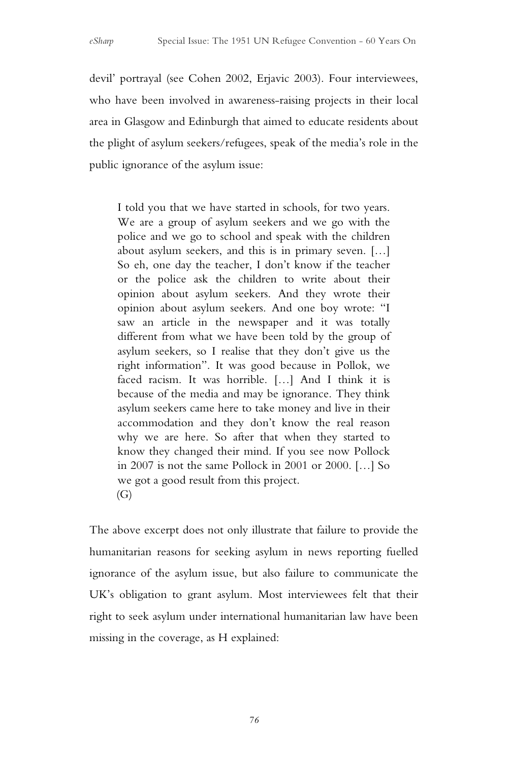devil' portrayal (see Cohen 2002, Erjavic 2003). Four interviewees, who have been involved in awareness-raising projects in their local area in Glasgow and Edinburgh that aimed to educate residents about the plight of asylum seekers/refugees, speak of the media's role in the public ignorance of the asylum issue:

I told you that we have started in schools, for two years. We are a group of asylum seekers and we go with the police and we go to school and speak with the children about asylum seekers, and this is in primary seven. […] So eh, one day the teacher, I don't know if the teacher or the police ask the children to write about their opinion about asylum seekers. And they wrote their opinion about asylum seekers. And one boy wrote: "I saw an article in the newspaper and it was totally different from what we have been told by the group of asylum seekers, so I realise that they don't give us the right information". It was good because in Pollok, we faced racism. It was horrible. […] And I think it is because of the media and may be ignorance. They think asylum seekers came here to take money and live in their accommodation and they don't know the real reason why we are here. So after that when they started to know they changed their mind. If you see now Pollock in 2007 is not the same Pollock in 2001 or 2000. […] So we got a good result from this project.  $(G)$ 

The above excerpt does not only illustrate that failure to provide the humanitarian reasons for seeking asylum in news reporting fuelled ignorance of the asylum issue, but also failure to communicate the UK's obligation to grant asylum. Most interviewees felt that their right to seek asylum under international humanitarian law have been missing in the coverage, as H explained: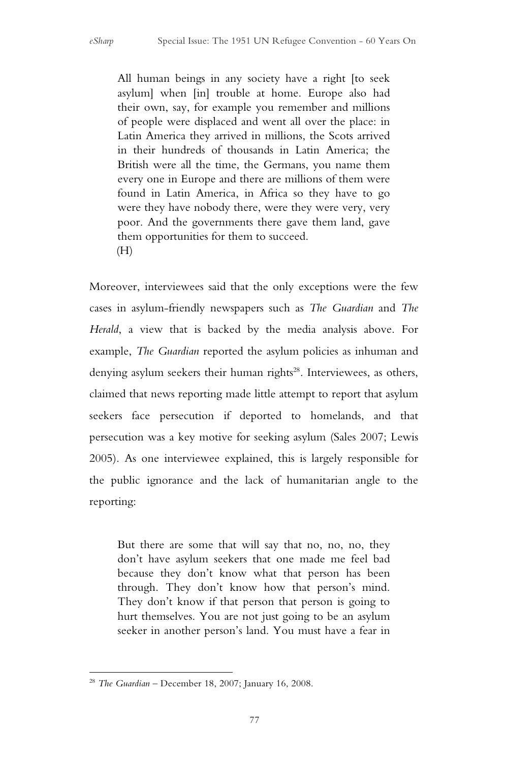All human beings in any society have a right [to seek asylum] when [in] trouble at home. Europe also had their own, say, for example you remember and millions of people were displaced and went all over the place: in Latin America they arrived in millions, the Scots arrived in their hundreds of thousands in Latin America; the British were all the time, the Germans, you name them every one in Europe and there are millions of them were found in Latin America, in Africa so they have to go were they have nobody there, were they were very, very poor. And the governments there gave them land, gave them opportunities for them to succeed. (H)

Moreover, interviewees said that the only exceptions were the few cases in asylum-friendly newspapers such as *The Guardian* and *The Herald*, a view that is backed by the media analysis above. For example, *The Guardian* reported the asylum policies as inhuman and denying asylum seekers their human rights<sup>28</sup>. Interviewees, as others, claimed that news reporting made little attempt to report that asylum seekers face persecution if deported to homelands, and that persecution was a key motive for seeking asylum (Sales 2007; Lewis 2005). As one interviewee explained, this is largely responsible for the public ignorance and the lack of humanitarian angle to the reporting:

But there are some that will say that no, no, no, they don't have asylum seekers that one made me feel bad because they don't know what that person has been through. They don't know how that person's mind. They don't know if that person that person is going to hurt themselves. You are not just going to be an asylum seeker in another person's land. You must have a fear in

 $\overline{a}$ <sup>28</sup> *The Guardian* – December 18, 2007; January 16, 2008.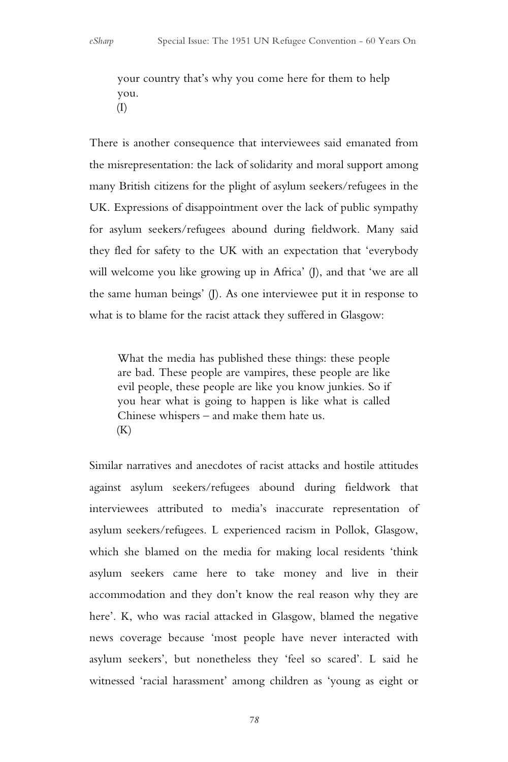your country that's why you come here for them to help you. (I)

There is another consequence that interviewees said emanated from the misrepresentation: the lack of solidarity and moral support among many British citizens for the plight of asylum seekers/refugees in the UK. Expressions of disappointment over the lack of public sympathy for asylum seekers/refugees abound during fieldwork. Many said they fled for safety to the UK with an expectation that 'everybody will welcome you like growing up in Africa' (I), and that 'we are all the same human beings' (J). As one interviewee put it in response to what is to blame for the racist attack they suffered in Glasgow:

What the media has published these things: these people are bad. These people are vampires, these people are like evil people, these people are like you know junkies. So if you hear what is going to happen is like what is called Chinese whispers – and make them hate us.  $(K)$ 

Similar narratives and anecdotes of racist attacks and hostile attitudes against asylum seekers/refugees abound during fieldwork that interviewees attributed to media's inaccurate representation of asylum seekers/refugees. L experienced racism in Pollok, Glasgow, which she blamed on the media for making local residents 'think asylum seekers came here to take money and live in their accommodation and they don't know the real reason why they are here'. K, who was racial attacked in Glasgow, blamed the negative news coverage because 'most people have never interacted with asylum seekers', but nonetheless they 'feel so scared'. L said he witnessed 'racial harassment' among children as 'young as eight or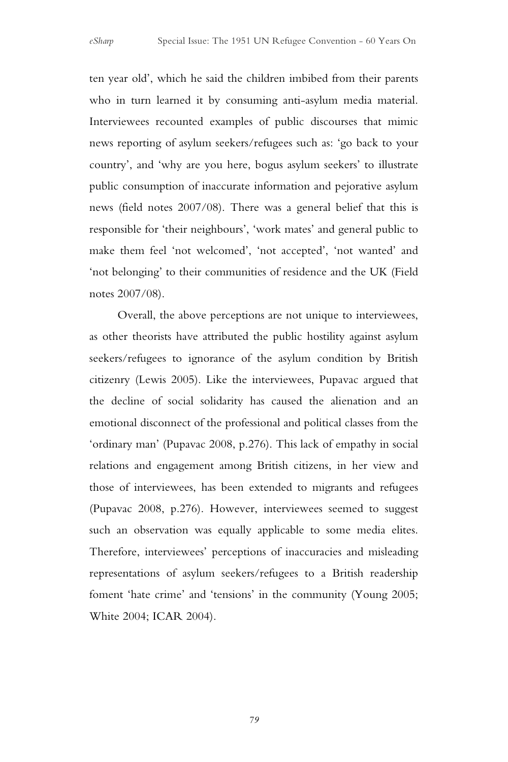ten year old', which he said the children imbibed from their parents who in turn learned it by consuming anti-asylum media material. Interviewees recounted examples of public discourses that mimic news reporting of asylum seekers/refugees such as: 'go back to your country', and 'why are you here, bogus asylum seekers' to illustrate public consumption of inaccurate information and pejorative asylum news (field notes 2007/08). There was a general belief that this is responsible for 'their neighbours', 'work mates' and general public to make them feel 'not welcomed', 'not accepted', 'not wanted' and 'not belonging' to their communities of residence and the UK (Field notes 2007/08).

Overall, the above perceptions are not unique to interviewees, as other theorists have attributed the public hostility against asylum seekers/refugees to ignorance of the asylum condition by British citizenry (Lewis 2005). Like the interviewees, Pupavac argued that the decline of social solidarity has caused the alienation and an emotional disconnect of the professional and political classes from the 'ordinary man' (Pupavac 2008, p.276). This lack of empathy in social relations and engagement among British citizens, in her view and those of interviewees, has been extended to migrants and refugees (Pupavac 2008, p.276). However, interviewees seemed to suggest such an observation was equally applicable to some media elites. Therefore, interviewees' perceptions of inaccuracies and misleading representations of asylum seekers/refugees to a British readership foment 'hate crime' and 'tensions' in the community (Young 2005; White 2004; ICAR 2004).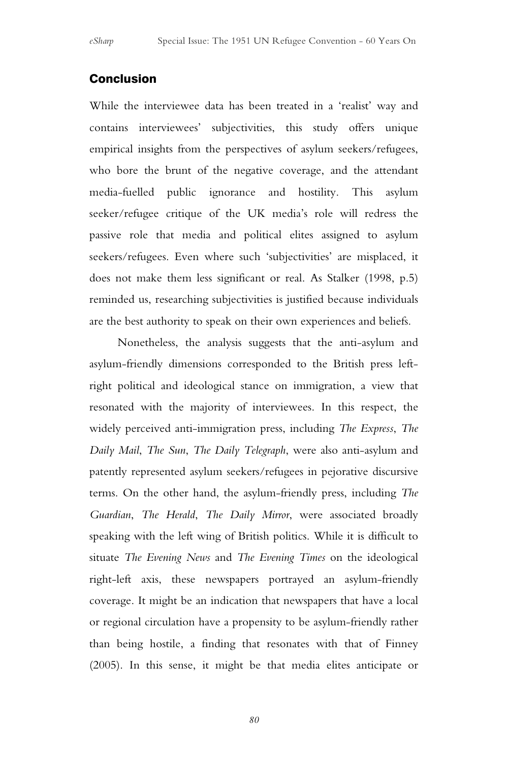### Conclusion

While the interviewee data has been treated in a 'realist' way and contains interviewees' subjectivities, this study offers unique empirical insights from the perspectives of asylum seekers/refugees, who bore the brunt of the negative coverage, and the attendant media-fuelled public ignorance and hostility. This asylum seeker/refugee critique of the UK media's role will redress the passive role that media and political elites assigned to asylum seekers/refugees. Even where such 'subjectivities' are misplaced, it does not make them less significant or real. As Stalker (1998, p.5) reminded us, researching subjectivities is justified because individuals are the best authority to speak on their own experiences and beliefs.

Nonetheless, the analysis suggests that the anti-asylum and asylum-friendly dimensions corresponded to the British press leftright political and ideological stance on immigration, a view that resonated with the majority of interviewees. In this respect, the widely perceived anti-immigration press, including *The Express*, *The Daily Mail*, *The Sun*, *The Daily Telegraph*, were also anti-asylum and patently represented asylum seekers/refugees in pejorative discursive terms. On the other hand, the asylum-friendly press, including *The Guardian*, *The Herald*, *The Daily Mirror*, were associated broadly speaking with the left wing of British politics. While it is difficult to situate *The Evening News* and *The Evening Times* on the ideological right-left axis, these newspapers portrayed an asylum-friendly coverage. It might be an indication that newspapers that have a local or regional circulation have a propensity to be asylum-friendly rather than being hostile, a finding that resonates with that of Finney (2005). In this sense, it might be that media elites anticipate or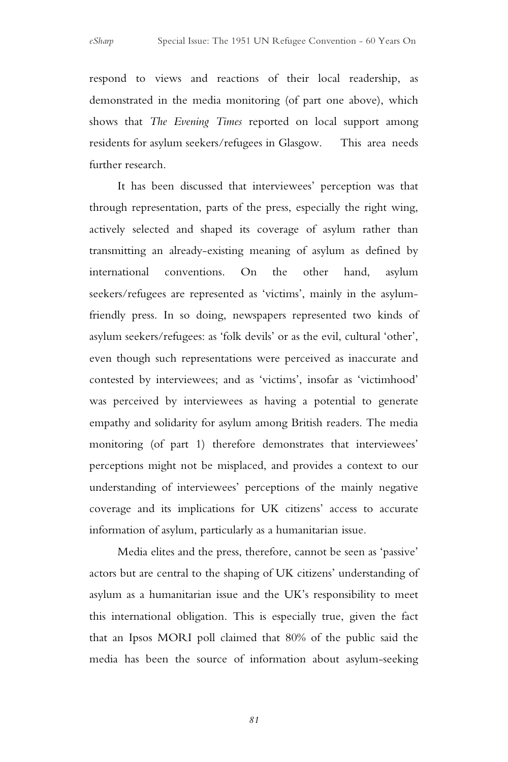respond to views and reactions of their local readership, as demonstrated in the media monitoring (of part one above), which shows that *The Evening Times* reported on local support among residents for asylum seekers/refugees in Glasgow. This area needs further research.

It has been discussed that interviewees' perception was that through representation, parts of the press, especially the right wing, actively selected and shaped its coverage of asylum rather than transmitting an already-existing meaning of asylum as defined by international conventions. On the other hand, asylum seekers/refugees are represented as 'victims', mainly in the asylumfriendly press. In so doing, newspapers represented two kinds of asylum seekers/refugees: as 'folk devils' or as the evil, cultural 'other', even though such representations were perceived as inaccurate and contested by interviewees; and as 'victims', insofar as 'victimhood' was perceived by interviewees as having a potential to generate empathy and solidarity for asylum among British readers. The media monitoring (of part 1) therefore demonstrates that interviewees' perceptions might not be misplaced, and provides a context to our understanding of interviewees' perceptions of the mainly negative coverage and its implications for UK citizens' access to accurate information of asylum, particularly as a humanitarian issue.

Media elites and the press, therefore, cannot be seen as 'passive' actors but are central to the shaping of UK citizens' understanding of asylum as a humanitarian issue and the UK's responsibility to meet this international obligation. This is especially true, given the fact that an Ipsos MORI poll claimed that 80% of the public said the media has been the source of information about asylum-seeking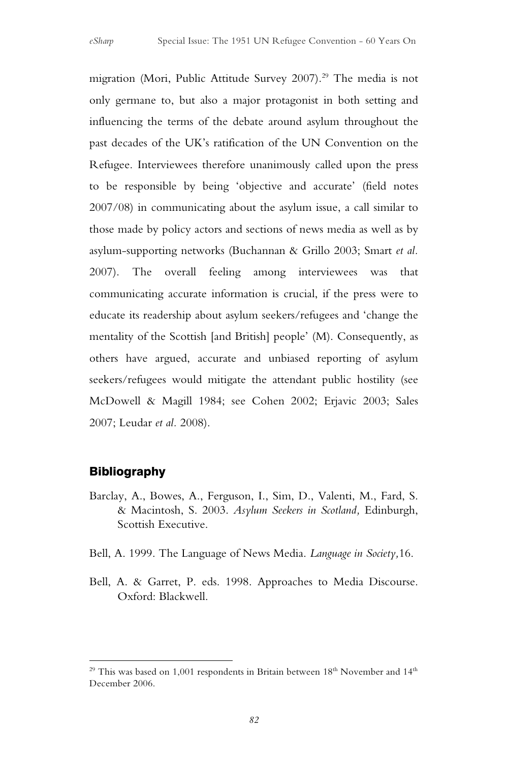migration (Mori, Public Attitude Survey 2007). <sup>29</sup> The media is not only germane to, but also a major protagonist in both setting and influencing the terms of the debate around asylum throughout the past decades of the UK's ratification of the UN Convention on the Refugee. Interviewees therefore unanimously called upon the press to be responsible by being 'objective and accurate' (field notes 2007/08) in communicating about the asylum issue, a call similar to those made by policy actors and sections of news media as well as by asylum-supporting networks (Buchannan & Grillo 2003; Smart *et al.* 2007). The overall feeling among interviewees was that communicating accurate information is crucial, if the press were to educate its readership about asylum seekers/refugees and 'change the mentality of the Scottish [and British] people' (M). Consequently, as others have argued, accurate and unbiased reporting of asylum seekers/refugees would mitigate the attendant public hostility (see McDowell & Magill 1984; see Cohen 2002; Erjavic 2003; Sales 2007; Leudar *et al.* 2008).

#### Bibliography

 $\overline{a}$ 

- Barclay, A., Bowes, A., Ferguson, I., Sim, D., Valenti, M., Fard, S. & Macintosh, S. 2003. *Asylum Seekers in Scotland,* Edinburgh, Scottish Executive.
- Bell, A. 1999. The Language of News Media. *Language in Society,*16.
- Bell, A. & Garret, P. eds. 1998. Approaches to Media Discourse. Oxford: Blackwell.

 $^{29}$  This was based on 1,001 respondents in Britain between  $18^{\rm th}$  November and  $14^{\rm th}$ December 2006.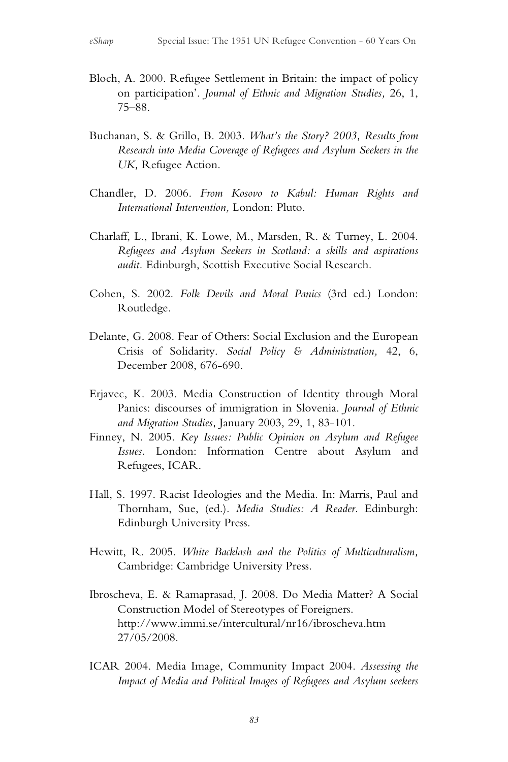- Bloch, A. 2000. Refugee Settlement in Britain: the impact of policy on participation'. *Journal of Ethnic and Migration Studies,* 26, 1, 75–88.
- Buchanan, S. & Grillo, B. 2003. *What's the Story? 2003, Results from Research into Media Coverage of Refugees and Asylum Seekers in the UK,* Refugee Action.
- Chandler, D. 2006. *From Kosovo to Kabul: Human Rights and International Intervention,* London: Pluto.
- Charlaff, L., Ibrani, K. Lowe, M., Marsden, R. & Turney, L. 2004. *Refugees and Asylum Seekers in Scotland: a skills and aspirations audit.* Edinburgh, Scottish Executive Social Research.
- Cohen, S. 2002. *Folk Devils and Moral Panics* (3rd ed.) London: Routledge.
- Delante, G. 2008. Fear of Others: Social Exclusion and the European Crisis of Solidarity. *Social Policy & Administration,* 42, 6, December 2008, 676-690.
- Erjavec, K. 2003. Media Construction of Identity through Moral Panics: discourses of immigration in Slovenia. *Journal of Ethnic and Migration Studies,* January 2003, 29, 1, 83-101.
- Finney, N. 2005. *Key Issues: Public Opinion on Asylum and Refugee Issues.* London: Information Centre about Asylum and Refugees, ICAR.
- Hall, S. 1997. Racist Ideologies and the Media. In: Marris, Paul and Thornham, Sue, (ed.). *Media Studies: A Reader.* Edinburgh: Edinburgh University Press.
- Hewitt, R. 2005. *White Backlash and the Politics of Multiculturalism,* Cambridge: Cambridge University Press.
- Ibroscheva, E. & Ramaprasad, J. 2008. Do Media Matter? A Social Construction Model of Stereotypes of Foreigners. http://www.immi.se/intercultural/nr16/ibroscheva.htm 27/05/2008.
- ICAR 2004. Media Image, Community Impact 2004. *Assessing the Impact of Media and Political Images of Refugees and Asylum seekers*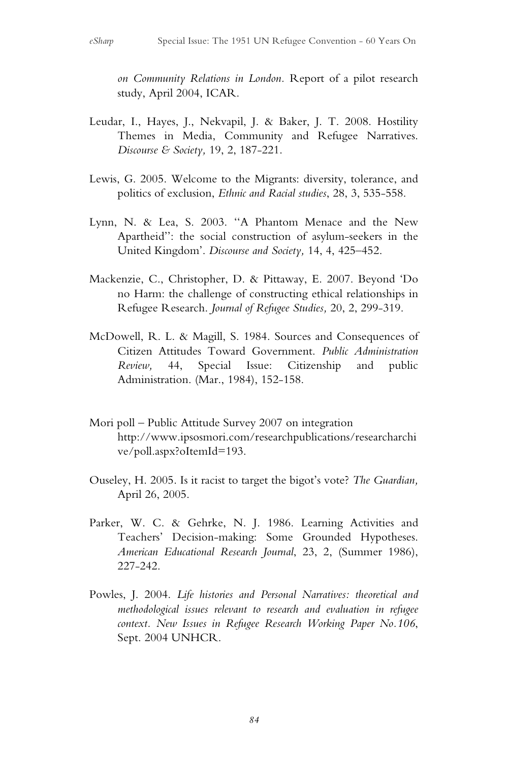*on Community Relations in London.* Report of a pilot research study, April 2004, ICAR.

- Leudar, I., Hayes, J., Nekvapil, J. & Baker, J. T. 2008. Hostility Themes in Media, Community and Refugee Narratives. *Discourse & Society,* 19, 2, 187-221.
- Lewis, G. 2005. Welcome to the Migrants: diversity, tolerance, and politics of exclusion, *Ethnic and Racial studies*, 28, 3, 535-558.
- Lynn, N. & Lea, S. 2003. ''A Phantom Menace and the New Apartheid'': the social construction of asylum-seekers in the United Kingdom'. *Discourse and Society,* 14, 4, 425–452.
- Mackenzie, C., Christopher, D. & Pittaway, E. 2007. Beyond 'Do no Harm: the challenge of constructing ethical relationships in Refugee Research. *Journal of Refugee Studies,* 20, 2, 299-319.
- McDowell, R. L. & Magill, S. 1984. Sources and Consequences of Citizen Attitudes Toward Government. *Public Administration Review,* 44, Special Issue: Citizenship and public Administration. (Mar., 1984), 152-158.
- Mori poll Public Attitude Survey 2007 on integration http://www.ipsosmori.com/researchpublications/researcharchi ve/poll.aspx?oItemId=193.
- Ouseley, H. 2005. Is it racist to target the bigot's vote? *The Guardian,* April 26, 2005.
- Parker, W. C. & Gehrke, N. J. 1986. Learning Activities and Teachers' Decision-making: Some Grounded Hypotheses. *American Educational Research Journal*, 23, 2, (Summer 1986), 227-242.
- Powles, J. 2004. *Life histories and Personal Narratives: theoretical and methodological issues relevant to research and evaluation in refugee context. New Issues in Refugee Research Working Paper No.106*, Sept. 2004 UNHCR.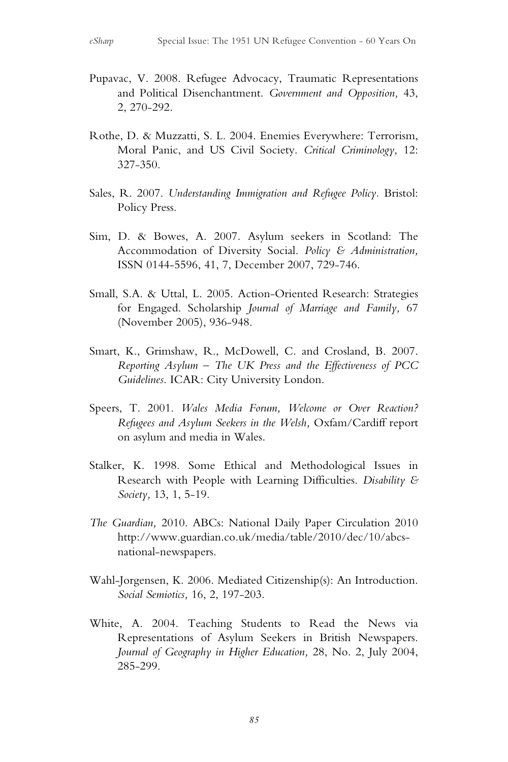- Pupavac, V. 2008. Refugee Advocacy, Traumatic Representations and Political Disenchantment. *Government and Opposition,* 43, 2, 270-292.
- Rothe, D. & Muzzatti, S. L. 2004. Enemies Everywhere: Terrorism, Moral Panic, and US Civil Society. *Critical Criminology,* 12: 327-350.
- Sales, R. 2007. *Understanding Immigration and Refugee Policy.* Bristol: Policy Press.
- Sim, D. & Bowes, A. 2007. Asylum seekers in Scotland: The Accommodation of Diversity Social. *Policy & Administration,* ISSN 0144-5596, 41, 7, December 2007, 729-746.
- Small, S.A. & Uttal, L. 2005. Action-Oriented Research: Strategies for Engaged. Scholarship *Journal of Marriage and Family,* 67 (November 2005), 936-948.
- Smart, K., Grimshaw, R., McDowell, C. and Crosland, B. 2007. *Reporting Asylum – The UK Press and the Effectiveness of PCC Guidelines*. ICAR: City University London.
- Speers, T. 2001. *Wales Media Forum, Welcome or Over Reaction? Refugees and Asylum Seekers in the Welsh,* Oxfam/Cardiff report on asylum and media in Wales.
- Stalker, K. 1998. Some Ethical and Methodological Issues in Research with People with Learning Difficulties. *Disability & Society,* 13, 1, 5-19.
- *The Guardian,* 2010. ABCs: National Daily Paper Circulation 2010 http://www.guardian.co.uk/media/table/2010/dec/10/abcsnational-newspapers.
- Wahl-Jorgensen, K. 2006. Mediated Citizenship(s): An Introduction. *Social Semiotics,* 16, 2, 197-203.
- White, A. 2004. Teaching Students to Read the News via Representations of Asylum Seekers in British Newspapers. *Journal of Geography in Higher Education,* 28, No. 2, July 2004, 285-299.